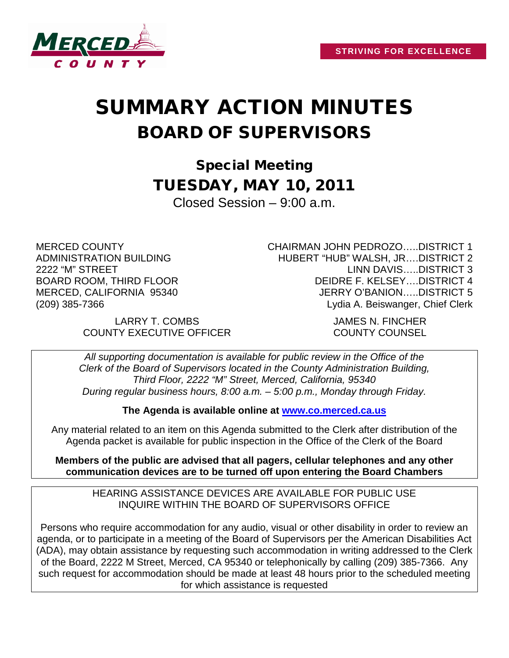

## SUMMARY ACTION MINUTES BOARD OF SUPERVISORS

Special Meeting TUESDAY, MAY 10, 2011 Closed Session – 9:00 a.m.

MERCED COUNTY ADMINISTRATION BUILDING 2222 "M" STREET BOARD ROOM, THIRD FLOOR MERCED, CALIFORNIA 95340 (209) 385-7366

LARRY T. COMBS JAMES N. FINCHER COUNTY EXECUTIVE OFFICER COUNTY COUNSEL

CHAIRMAN JOHN PEDROZO…..DISTRICT 1 HUBERT "HUB" WALSH, JR….DISTRICT 2 LINN DAVIS…..DISTRICT 3 DEIDRE F. KELSEY….DISTRICT 4 JERRY O'BANION…..DISTRICT 5 Lydia A. Beiswanger, Chief Clerk

*All supporting documentation is available for public review in the Office of the Clerk of the Board of Supervisors located in the County Administration Building, Third Floor, 2222 "M" Street, Merced, California, 95340 During regular business hours, 8:00 a.m. – 5:00 p.m., Monday through Friday.*

**The Agenda is available online at [www.co.merced.ca.us](http://www.co.merced.ca.us/)**

Any material related to an item on this Agenda submitted to the Clerk after distribution of the Agenda packet is available for public inspection in the Office of the Clerk of the Board

**Members of the public are advised that all pagers, cellular telephones and any other communication devices are to be turned off upon entering the Board Chambers**

HEARING ASSISTANCE DEVICES ARE AVAILABLE FOR PUBLIC USE INQUIRE WITHIN THE BOARD OF SUPERVISORS OFFICE

Persons who require accommodation for any audio, visual or other disability in order to review an agenda, or to participate in a meeting of the Board of Supervisors per the American Disabilities Act (ADA), may obtain assistance by requesting such accommodation in writing addressed to the Clerk of the Board, 2222 M Street, Merced, CA 95340 or telephonically by calling (209) 385-7366. Any such request for accommodation should be made at least 48 hours prior to the scheduled meeting for which assistance is requested